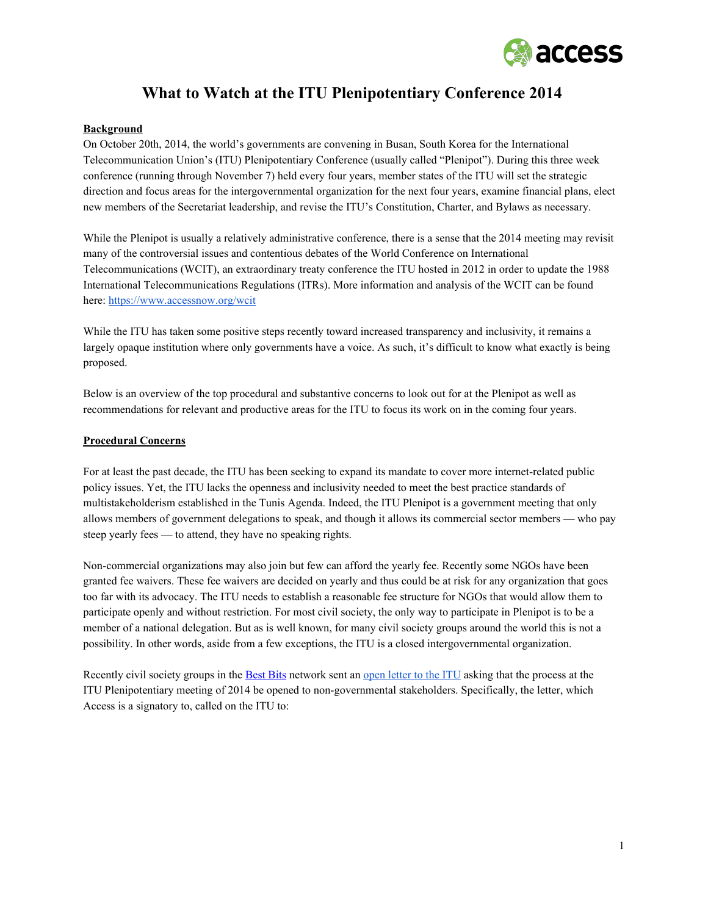

# **What to Watch at the ITU Plenipotentiary Conference 2014**

#### **Background**

On October 20th, 2014, the world's governments are convening in Busan, South Korea for the International Telecommunication Union's (ITU) Plenipotentiary Conference (usually called "Plenipot"). During this three week conference (running through November 7) held every four years, member states of the ITU will set the strategic direction and focus areas for the intergovernmental organization for the next four years, examine financial plans, elect new members of the Secretariat leadership, and revise the ITU's Constitution, Charter, and Bylaws as necessary.

While the Plenipot is usually a relatively administrative conference, there is a sense that the 2014 meeting may revisit many of the controversial issues and contentious debates of the World Conference on International Telecommunications (WCIT), an extraordinary treaty conference the ITU hosted in 2012 in order to update the 1988 International Telecommunications Regulations (ITRs). More information and analysis of the WCIT can be found here: [https://www.accessnow.org/wcit](https://www.google.com/url?q=https%3A%2F%2Fwww.accessnow.org%2Fwcit&sa=D&sntz=1&usg=AFQjCNHrUCW2-53iIECuJSHpCA3ekF--qQ)

While the ITU has taken some positive steps recently toward increased transparency and inclusivity, it remains a largely opaque institution where only governments have a voice. As such, it's difficult to know what exactly is being proposed.

Below is an overview of the top procedural and substantive concerns to look out for at the Plenipot as well as recommendations for relevant and productive areas for the ITU to focus its work on in the coming four years.

#### **Procedural Concerns**

For at least the past decade, the ITU has been seeking to expand its mandate to cover more internet-related public policy issues. Yet, the ITU lacks the openness and inclusivity needed to meet the best practice standards of multistakeholderism established in the Tunis [Agenda.](http://www.google.com/url?q=http%3A%2F%2Fwww.itu.int%2Fwsis%2Fdocs2%2Ftunis%2Foff%2F6rev1.html&sa=D&sntz=1&usg=AFQjCNG_8tov6IW4eL69gR17CESNydzpAA) Indeed, the ITU Plenipot is a government meeting that only allows members of government delegations to speak, and though it allows its commercial sector members — who pay steep yearly fees — to attend, they have no speaking rights.

Non-commercial organizations may also join but few can afford the yearly fee. Recently some NGOs have been granted fee waivers. These fee waivers are decided on yearly and thus could be at risk for any organization that goes too far with its advocacy. The ITU needs to establish a reasonable fee structure for NGOs that would allow them to participate openly and without restriction. For most civil society, the only way to participate in Plenipot is to be a member of a national delegation. But as is well known, for many civil society groups around the world this is not a possibility. In other words, aside from a few exceptions, the ITU is a closed intergovernmental organization.

Recently civil society groups in the [Best](http://www.google.com/url?q=http%3A%2F%2Fbestbits.net%2F&sa=D&sntz=1&usg=AFQjCNHXegzCnHeIMwdErVinzpKidVNFZw) Bits network sent an open [letter](http://www.google.com/url?q=http%3A%2F%2Fbestbits.net%2Fbusan-transparency%2F&sa=D&sntz=1&usg=AFQjCNEXe93HwVq4QFMZfyOvLq44KyPVDQ) to the ITU asking that the process at the ITU Plenipotentiary meeting of 2014 be opened to nongovernmental stakeholders. Specifically, the letter, which Access is a signatory to, called on the ITU to: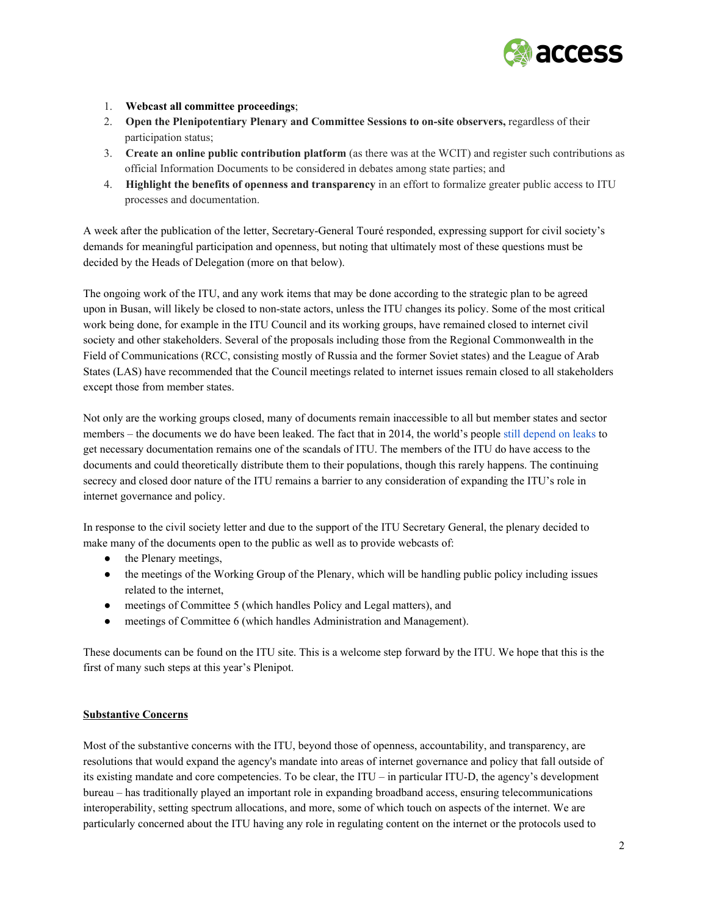

#### 1. **Webcast all committee proceedings**;

- 2. **Open the Plenipotentiary Plenary and Committee Sessions to onsite observers,** regardless of their participation status;
- 3. **Create an online public contribution platform** (as there was at the WCIT) and register such contributions as official Information Documents to be considered in debates among state parties; and
- 4. **Highlight the benefits of openness and transparency** in an effort to formalize greater public access to ITU processes and documentation.

A week after the publication of the letter, Secretary-General Touré [responded,](http://www.google.com/url?q=http%3A%2F%2Fwww.itu.int%2Fen%2Fplenipotentiary%2F2014%2FDocuments%2Fitu-sg-response-letter-civil-society.pdf&sa=D&sntz=1&usg=AFQjCNHT6YCizfiMM2DX6q4021FjxHaUxg) expressing support for civil society's demands for meaningful participation and openness, but noting that ultimately most of these questions must be decided by the Heads of Delegation (more on that below).

The ongoing work of the ITU, and any work items that may be done according to the strategic plan to be agreed upon in Busan, will likely be closed to non-state actors, unless the ITU changes its policy. Some of the most critical work being done, for example in the ITU Council and its working groups, have remained closed to internet civil society and other stakeholders. Several of the proposals including those from the Regional Commonwealth in the Field of Communications (RCC, consisting mostly of Russia and the former Soviet states) and the League of Arab States (LAS) have recommended that the Council meetings related to internet issues remain closed to all stakeholders except those from member states.

Not only are the working groups closed, many of documents remain inaccessible to all but member states and sector members – the documents we do have been leaked. The fact that in 2014, the world's people still [depend](http://www.google.com/url?q=http%3A%2F%2Fwcitleaks.org%2F&sa=D&sntz=1&usg=AFQjCNFIrNyTNLfqlyDfb8GL5bDMfddaTA) on leaks to get necessary documentation remains one of the scandals of ITU. The members of the ITU do have access to the documents and could theoretically distribute them to their populations, though this rarely happens. The continuing secrecy and closed door nature of the ITU remains a barrier to any consideration of expanding the ITU's role in internet governance and policy.

In response to the civil society letter and due to the support of the ITU Secretary General, the plenary decided to make many of the documents open to the public as well as to provide webcasts of:

- the Plenary meetings,
- the meetings of the Working Group of the Plenary, which will be handling public policy including issues related to the internet,
- meetings of Committee 5 (which handles Policy and Legal matters), and
- meetings of Committee 6 (which handles Administration and Management).

These documents can be found on the [ITU](http://www.google.com/url?q=http%3A%2F%2Fwww.itu.int%2Fen%2Fplenipotentiary%2F2014%2FPages%2Fdocuments.aspx&sa=D&sntz=1&usg=AFQjCNGVF7YlHUZfyr_U4YbMBmHY1l25gQ) site. This is a welcome step forward by the ITU. We hope that this is the first of many such steps at this year's Plenipot.

## **Substantive Concerns**

Most of the substantive concerns with the ITU, beyond those of openness, accountability, and transparency, are resolutions that would expand the agency's mandate into areas of internet governance and policy that fall outside of its existing mandate and core competencies. To be clear, the ITU – in particular ITU-D, the agency's development bureau – has traditionally played an important role in expanding broadband access, ensuring telecommunications interoperability, setting spectrum allocations, and more, some of which touch on aspects of the internet. We are particularly concerned about the ITU having any role in regulating content on the internet or the protocols used to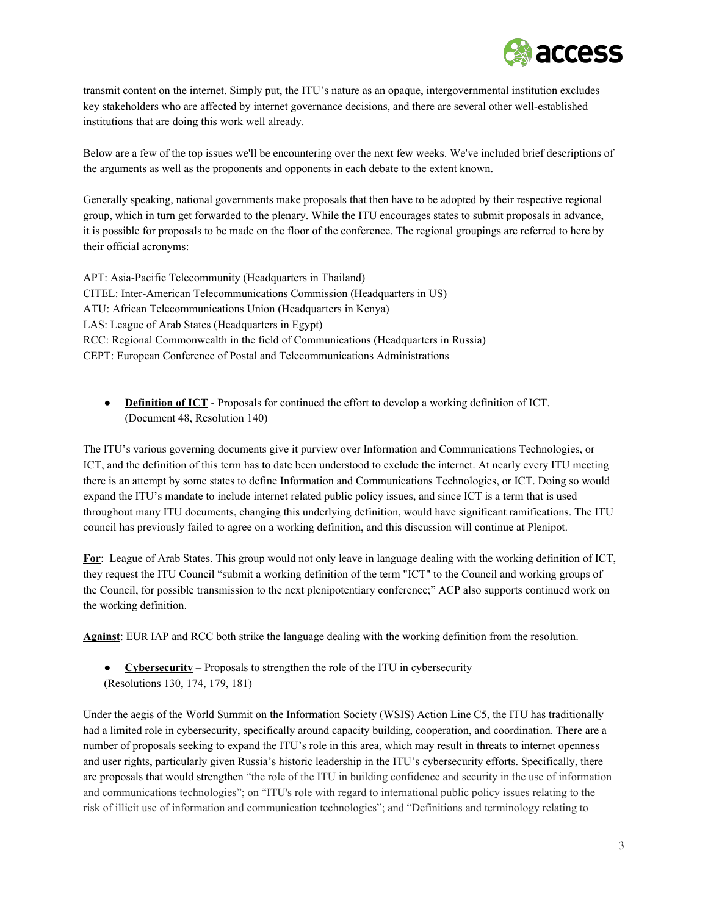

transmit content on the internet. Simply put, the ITU's nature as an opaque, intergovernmental institution excludes key stakeholders who are affected by internet governance decisions, and there are several other wellestablished institutions that are doing this work well already.

Below are a few of the top issues we'll be encountering over the next few weeks. We've included brief descriptions of the arguments as well as the proponents and opponents in each debate to the extent known.

Generally speaking, national governments make proposals that then have to be adopted by their respective regional group, which in turn get forwarded to the plenary. While the ITU encourages states to submit proposals in advance, it is possible for proposals to be made on the floor of the conference. The regional groupings are referred to here by their official acronyms:

APT: Asia-Pacific Telecommunity (Headquarters in Thailand) CITEL: InterAmerican Telecommunications Commission (Headquarters in US) ATU: African Telecommunications Union (Headquarters in Kenya) LAS: League of Arab States (Headquarters in Egypt) RCC: Regional Commonwealth in the field of Communications (Headquarters in Russia) CEPT: European Conference of Postal and Telecommunications Administrations

● **Definition of ICT** Proposals for continued the effort to develop a working definition of ICT. (Document 48, Resolution 140)

The ITU's various governing documents give it purview over Information and Communications Technologies, or ICT, and the definition of this term has to date been understood to exclude the internet. At nearly every ITU meeting there is an attempt by some states to define Information and Communications Technologies, or ICT. Doing so would expand the ITU's mandate to include internet related public policy issues, and since ICT is a term that is used throughout many ITU documents, changing this underlying definition, would have significant ramifications. The ITU council has previously failed to agree on a working definition, and this discussion will continue at Plenipot.

**For**: League of Arab States. This group would not only leave in language dealing with the working definition of ICT, they request the ITU Council "submit a working definition of the term "ICT" to the Council and working groups of the Council, for possible transmission to the next plenipotentiary conference;" ACP also supports continued work on the working definition.

**Against**: EUR IAP and RCC both strike the language dealing with the working definition from the resolution.

● **Cybersecurity** – Proposals to strengthen the role of the ITU in cybersecurity (Resolutions 130, 174, 179, 181)

Under the aegis of the World Summit on the Information Society (WSIS) Action Line C5, the ITU has traditionally had a limited role in cybersecurity, specifically around capacity building, cooperation, and coordination. There are a number of proposals seeking to expand the ITU's role in this area, which may result in threats to internet openness and user rights, particularly given Russia's historic leadership in the ITU's cybersecurity efforts. Specifically, there are proposals that would strengthen "the role of the ITU in building confidence and security in the use of information and communications technologies"; on "ITU's role with regard to international public policy issues relating to the risk of illicit use of information and communication technologies"; and "Definitions and terminology relating to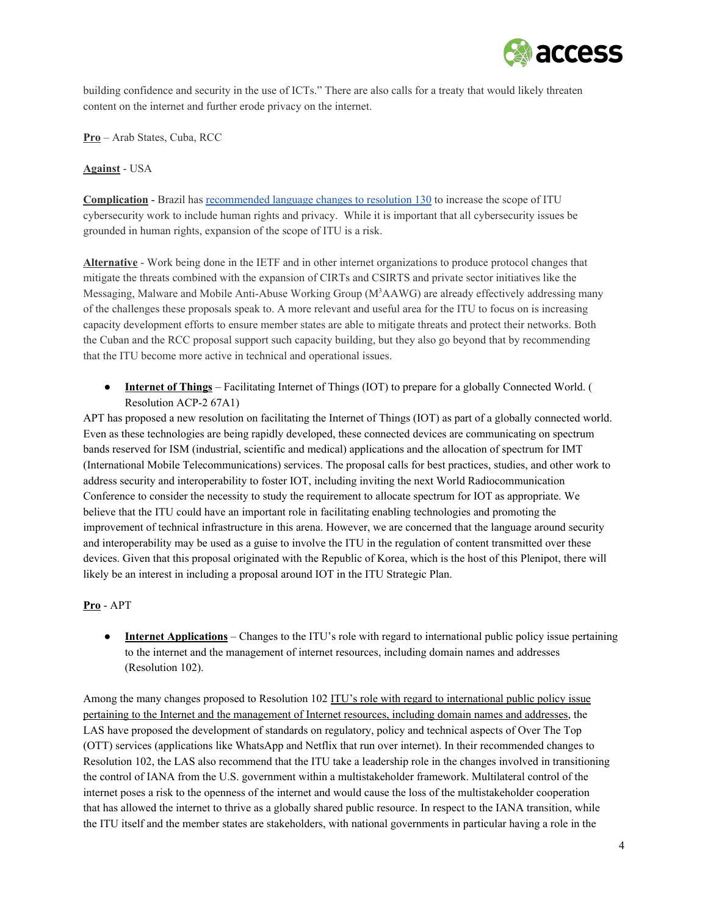

building confidence and security in the use of ICTs." There are also calls for a treaty that would likely threaten content on the internet and further erode privacy on the internet.

**Pro** – Arab States, Cuba, RCC

**Against** USA

**Complication** - Brazil has [recommended](http://www.google.com/url?q=http%3A%2F%2Ffiles.wcitleaks.org%2Fpublic%2FS14-PP-C-0075!!MSW-E.pdf&sa=D&sntz=1&usg=AFQjCNFQmf1fkO41jxxKvVbr-qci7qiUmA) language changes to resolution 130 to increase the scope of ITU cybersecurity work to include human rights and privacy. While it is important that all cybersecurity issues be grounded in human rights, expansion of the scope of ITU is a risk.

**Alternative** Work being done in the IETF and in other internet organizations to produce protocol changes that mitigate the threats combined with the expansion of CIRTs and CSIRTS and private sector initiatives like the Messaging, Malware and Mobile Anti-Abuse Working Group  $(M<sup>3</sup>AAWG)$  are already effectively addressing many of the challenges these proposals speak to. A more relevant and useful area for the ITU to focus on is increasing capacity development efforts to ensure member states are able to mitigate threats and protect their networks. Both the Cuban and the RCC proposal support such capacity building, but they also go beyond that by recommending that the ITU become more active in technical and operational issues.

● **Internet of Things** – Facilitating Internet of Things (IOT) to prepare for a globally Connected World. ( Resolution ACP-2 67A1)

APT has proposed a new resolution on facilitating the Internet of Things (IOT) as part of a globally connected world. Even as these technologies are being rapidly developed, these connected devices are communicating on spectrum bands reserved for ISM (industrial, scientific and medical) applications and the allocation of spectrum for IMT (International Mobile Telecommunications) services. The proposal calls for best practices, studies, and other work to address security and interoperability to foster IOT, including inviting the next World Radiocommunication Conference to consider the necessity to study the requirement to allocate spectrum for IOT as appropriate. We believe that the ITU could have an important role in facilitating enabling technologies and promoting the improvement of technical infrastructure in this arena. However, we are concerned that the language around security and interoperability may be used as a guise to involve the ITU in the regulation of content transmitted over these devices. Given that this proposal originated with the Republic of Korea, which is the host of this Plenipot, there will likely be an interest in including a proposal around IOT in the ITU Strategic Plan.

## **Pro** APT

● **Internet Applications** – Changes to the ITU's role with regard to international public policy issue pertaining to the internet and the management of internet resources, including domain names and addresses (Resolution 102).

Among the many changes proposed to Resolution 102 ITU's role with regard to international public policy issue pertaining to the Internet and the management of Internet resources, including domain names and addresses, the LAS have proposed the development of standards on regulatory, policy and technical aspects of Over The Top (OTT) services (applications like WhatsApp and Netflix that run over internet). In their recommended changes to Resolution 102, the LAS also recommend that the ITU take a leadership role in the changes involved in transitioning the control of IANA from the U.S. government within a multistakeholder framework. Multilateral control of the internet poses a risk to the openness of the internet and would cause the loss of the multistakeholder cooperation that has allowed the internet to thrive as a globally shared public resource. In respect to the IANA transition, while the ITU itself and the member states are stakeholders, with national governments in particular having a role in the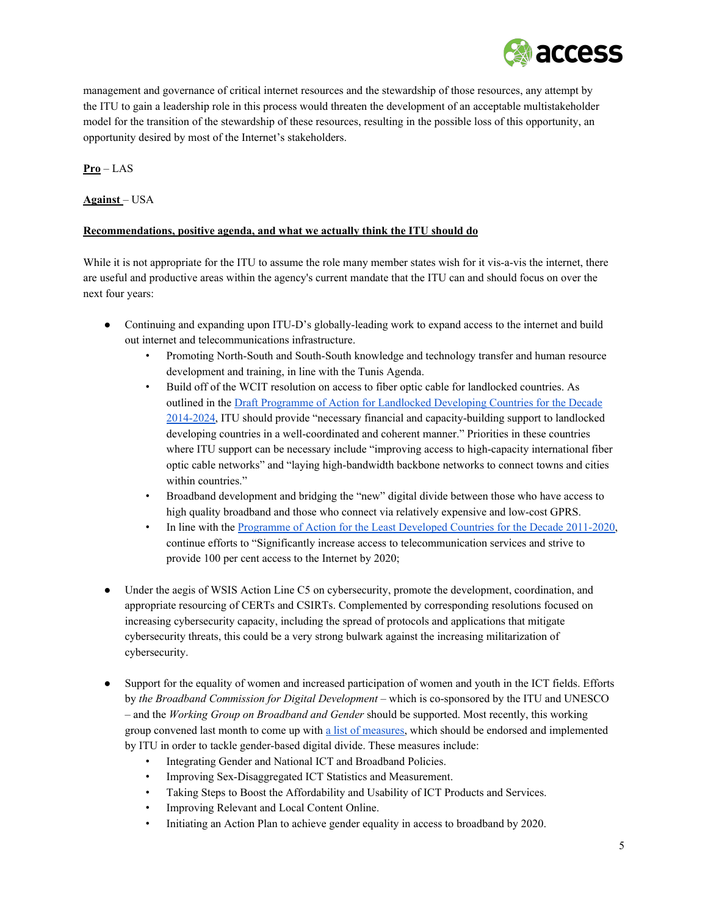

management and governance of critical internet resources and the stewardship of those resources, any attempt by the ITU to gain a leadership role in this process would threaten the development of an acceptable multistakeholder model for the transition of the stewardship of these resources, resulting in the possible loss of this opportunity, an opportunity desired by most of the Internet's stakeholders.

# **Pro** – LAS

# **Against** – USA

## **Recommendations, positive agenda, and what we actually think the ITU should do**

While it is not appropriate for the ITU to assume the role many member states wish for it vis-a-vis the internet, there are useful and productive areas within the agency's current mandate that the ITU can and should focus on over the next four years:

- Continuing and expanding upon ITU-D's globally-leading work to expand access to the internet and build out internet and telecommunications infrastructure.
	- Promoting North-South and South-South knowledge and technology transfer and human resource development and training, in line with the Tunis Agenda.
	- Build off of the WCIT resolution on access to fiber optic cable for landlocked countries. As outlined in th[e](http://www.google.com/url?q=http%3A%2F%2Fwww.lldc2conference.org%2Fcustom-content%2Fuploads%2F2014%2F10%2F1460798E.pdf&sa=D&sntz=1&usg=AFQjCNFvjpPnDEyRNQib8UwEgrJCCSWa1g) Draft Programme of Action for [Landlocked](http://www.google.com/url?q=http%3A%2F%2Fwww.lldc2conference.org%2Fcustom-content%2Fuploads%2F2014%2F10%2F1460798E.pdf&sa=D&sntz=1&usg=AFQjCNFvjpPnDEyRNQib8UwEgrJCCSWa1g) Developing Countries for the Decade 2014-2024, ITU should provide "necessary financial and capacity-building support to landlocked developing countries in a well-coordinated and coherent manner." Priorities in these countries where ITU support can be necessary include "improving access to high-capacity international fiber optic cable networks" and "laying high-bandwidth backbone networks to connect towns and cities within countries."
	- Broadband development and bridging the "new" digital divide between those who have access to high quality broadband and those who connect via relatively expensive and lowcost GPRS.
	- In line with the [Programme](http://www.google.com/url?q=http%3A%2F%2Funohrlls.org%2FUserFiles%2FFile%2FIPoA.pdf&sa=D&sntz=1&usg=AFQjCNEUMMqkRLbUUcPMRm1bdRn6L_CQlQ) of Action for the Least Developed Countries for the Decade 2011-2020, continue efforts to "Significantly increase access to telecommunication services and strive to provide 100 per cent access to the Internet by 2020;
- Under the aegis of WSIS Action Line C5 on cybersecurity, promote the development, coordination, and appropriate resourcing of CERTs and CSIRTs. Complemented by corresponding resolutions focused on increasing cybersecurity capacity, including the spread of protocols and applications that mitigate cybersecurity threats, this could be a very strong bulwark against the increasing militarization of cybersecurity.
- Support for the equality of women and increased participation of women and youth in the ICT fields. Efforts by *the Broadband Commission for Digital Development* – which is cosponsored by the ITU and UNESCO – and the *Working Group on Broadband and Gender* should be supported. Most recently, this working group convened last month to come up with a list of [measures,](http://www.google.com/url?q=http%3A%2F%2Fwww.broadbandcommission.org%2Fevents%2FPages%2F3rd-WG-G-Meeting.aspx&sa=D&sntz=1&usg=AFQjCNGo5N0cwUlMuzgKWMYi3PNkGOT7wA) which should be endorsed and implemented by ITU in order to tackle gender-based digital divide. These measures include:
	- Integrating Gender and National ICT and Broadband Policies.
	- Improving Sex-Disaggregated ICT Statistics and Measurement.
	- Taking Steps to Boost the Affordability and Usability of ICT Products and Services.
	- Improving Relevant and Local Content Online.
	- Initiating an Action Plan to achieve gender equality in access to broadband by 2020.